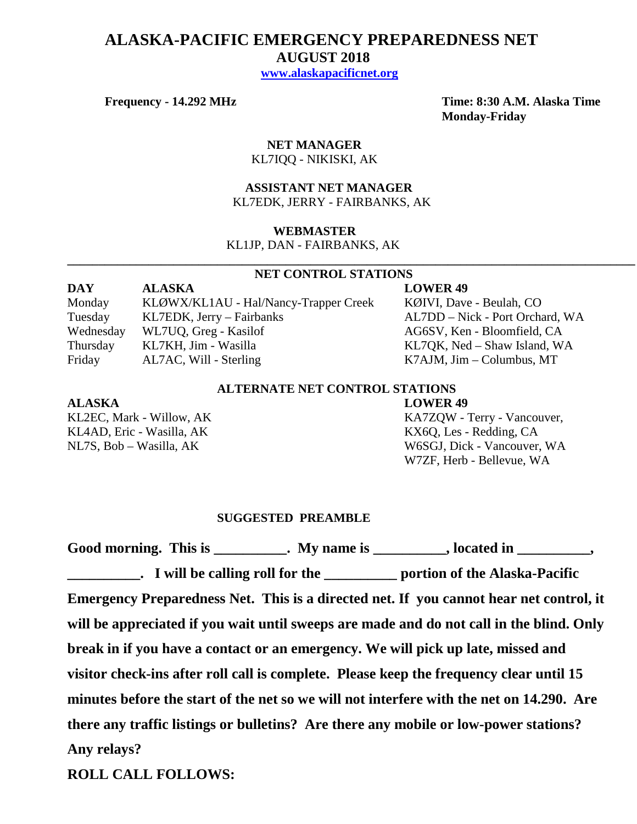## **ALASKA-PACIFIC EMERGENCY PREPAREDNESS NET AUGUST 2018 [www.alaskapacificnet.org](http://www.alaskapacificnet.org/)**

**Frequency - 14.292 MHz Time: 8:30 A.M. Alaska Time Monday-Friday**

# **NET MANAGER**

KL7IQQ - NIKISKI, AK

#### **ASSISTANT NET MANAGER**  KL7EDK, JERRY - FAIRBANKS, AK

#### **WEBMASTER**

KL1JP, DAN - FAIRBANKS, AK

#### **NET CONTROL STATIONS**

**\_\_\_\_\_\_\_\_\_\_\_\_\_\_\_\_\_\_\_\_\_\_\_\_\_\_\_\_\_\_\_\_\_\_\_\_\_\_\_\_\_\_\_\_\_\_\_\_\_\_\_\_\_\_\_\_\_\_\_\_\_\_\_\_\_\_\_\_\_\_\_\_\_\_\_\_\_\_\_\_\_\_\_\_\_\_\_\_\_\_\_**

| <b>DAY</b> | <b>ALASKA</b>                         | <b>LOWER 49</b>                 |
|------------|---------------------------------------|---------------------------------|
| Monday     | KLØWX/KL1AU - Hal/Nancy-Trapper Creek | KØIVI, Dave - Beulah, CO        |
| Tuesday    | KL7EDK, Jerry – Fairbanks             | AL7DD – Nick - Port Orchard, WA |
| Wednesday  | WL7UQ, Greg - Kasilof                 | AG6SV, Ken - Bloomfield, CA     |
| Thursday   | KL7KH, Jim - Wasilla                  | KL7QK, Ned – Shaw Island, WA    |
| Friday     | AL7AC, Will - Sterling                | $K7$ AJM, Jim – Columbus, MT    |

### **ALTERNATE NET CONTROL STATIONS**

#### **ALASKA LOWER 49**

KL4AD, Eric - Wasilla, AK KL4AD, Eric - Wasilla, AK

KL2EC, Mark - Willow, AK KA7ZQW - Terry - Vancouver, NL7S, Bob – Wasilla, AK W6SGJ, Dick - Vancouver, WA W7ZF, Herb - Bellevue, WA

#### **SUGGESTED PREAMBLE**

Good morning. This is \_\_\_\_\_\_\_\_\_\_. My name is \_\_\_\_\_\_\_\_\_, located in \_\_\_\_\_\_\_\_\_, **\_\_\_\_\_\_\_\_\_\_. I will be calling roll for the \_\_\_\_\_\_\_\_\_\_ portion of the Alaska-Pacific Emergency Preparedness Net. This is a directed net. If you cannot hear net control, it will be appreciated if you wait until sweeps are made and do not call in the blind. Only break in if you have a contact or an emergency. We will pick up late, missed and visitor check-ins after roll call is complete. Please keep the frequency clear until 15 minutes before the start of the net so we will not interfere with the net on 14.290. Are there any traffic listings or bulletins? Are there any mobile or low-power stations? Any relays?** 

**ROLL CALL FOLLOWS:**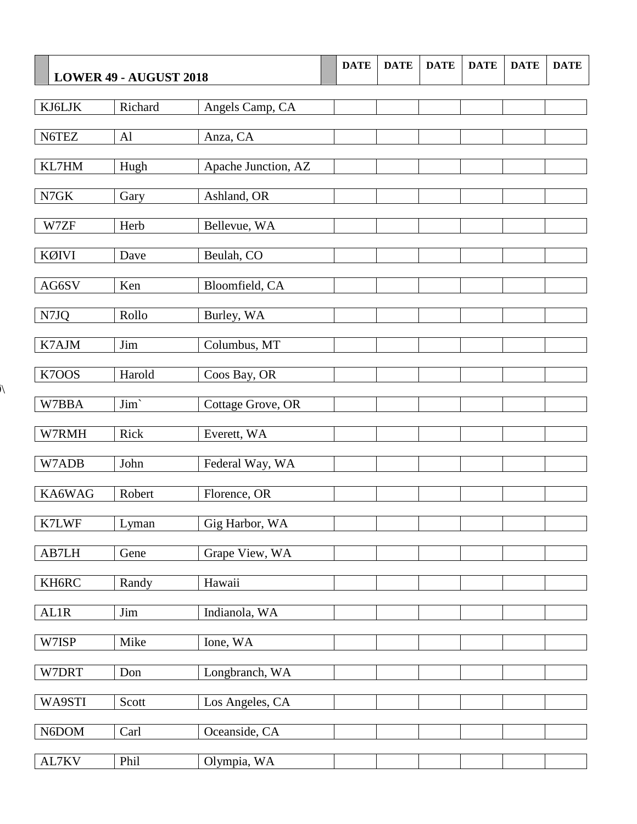| LOWER 49 - AUGUST 2018 |         | <b>DATE</b>         | <b>DATE</b> | <b>DATE</b> | <b>DATE</b> | <b>DATE</b> | <b>DATE</b> |  |
|------------------------|---------|---------------------|-------------|-------------|-------------|-------------|-------------|--|
| KJ6LJK                 | Richard | Angels Camp, CA     |             |             |             |             |             |  |
| N6TEZ                  | AI      | Anza, CA            |             |             |             |             |             |  |
| KL7HM                  | Hugh    | Apache Junction, AZ |             |             |             |             |             |  |
| N7GK                   | Gary    | Ashland, OR         |             |             |             |             |             |  |
| W7ZF                   | Herb    | Bellevue, WA        |             |             |             |             |             |  |
| KØIVI                  | Dave    | Beulah, CO          |             |             |             |             |             |  |
| AG6SV                  | Ken     | Bloomfield, CA      |             |             |             |             |             |  |
| N7JQ                   | Rollo   | Burley, WA          |             |             |             |             |             |  |
| K7AJM                  | Jim     | Columbus, MT        |             |             |             |             |             |  |
| K7OOS                  | Harold  | Coos Bay, OR        |             |             |             |             |             |  |
| W7BBA                  | Jim     | Cottage Grove, OR   |             |             |             |             |             |  |
| W7RMH                  | Rick    | Everett, WA         |             |             |             |             |             |  |
| W7ADB                  | John    | Federal Way, WA     |             |             |             |             |             |  |
| KA6WAG                 | Robert  | Florence, OR        |             |             |             |             |             |  |
| K7LWF                  | Lyman   | Gig Harbor, WA      |             |             |             |             |             |  |
| AB7LH                  | Gene    | Grape View, WA      |             |             |             |             |             |  |
| KH6RC                  | Randy   | Hawaii              |             |             |             |             |             |  |
| <b>AL1R</b>            | Jim     | Indianola, WA       |             |             |             |             |             |  |
| W7ISP                  | Mike    | Ione, WA            |             |             |             |             |             |  |
| W7DRT                  | Don     | Longbranch, WA      |             |             |             |             |             |  |
| WA9STI                 | Scott   | Los Angeles, CA     |             |             |             |             |             |  |
| N6DOM                  | Carl    | Oceanside, CA       |             |             |             |             |             |  |
| AL7KV                  | Phil    | Olympia, WA         |             |             |             |             |             |  |

 $\lambda$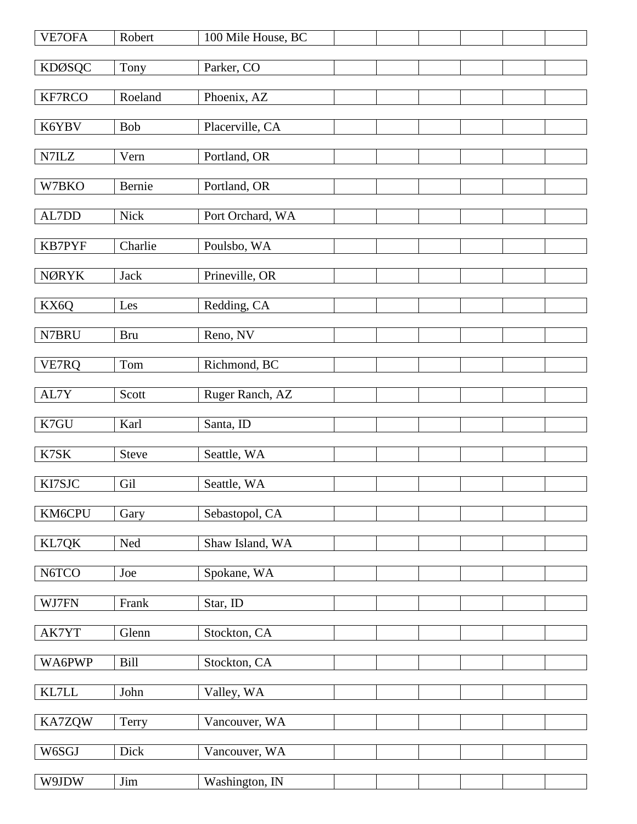| VE7OFA           | Robert     | 100 Mile House, BC |  |  |  |
|------------------|------------|--------------------|--|--|--|
| <b>KDØSQC</b>    | Tony       | Parker, CO         |  |  |  |
| KF7RCO           | Roeland    | Phoenix, AZ        |  |  |  |
| K6YBV            | <b>Bob</b> | Placerville, CA    |  |  |  |
| N7ILZ            | Vern       | Portland, OR       |  |  |  |
| W7BKO            | Bernie     | Portland, OR       |  |  |  |
|                  |            |                    |  |  |  |
| $\text{AL7DD}{}$ | Nick       | Port Orchard, WA   |  |  |  |
| <b>KB7PYF</b>    | Charlie    | Poulsbo, WA        |  |  |  |
| <b>NØRYK</b>     | Jack       | Prineville, OR     |  |  |  |
| KX6Q             | Les        | Redding, CA        |  |  |  |
| N7BRU            | <b>Bru</b> | Reno, NV           |  |  |  |
| VE7RQ            | Tom        | Richmond, BC       |  |  |  |
| AL7Y             | Scott      | Ruger Ranch, AZ    |  |  |  |
|                  |            |                    |  |  |  |
| K7GU             | Karl       | Santa, ID          |  |  |  |
| K7SK             | Steve      | Seattle, WA        |  |  |  |
| KI7SJC           | Gil        | Seattle, WA        |  |  |  |
| KM6CPU           | Gary       | Sebastopol, CA     |  |  |  |
| KL7QK            | Ned        | Shaw Island, WA    |  |  |  |
| N6TCO            | Joe        | Spokane, WA        |  |  |  |
| WJ7FN            | Frank      | Star, ID           |  |  |  |
|                  |            |                    |  |  |  |
| AK7YT            | Glenn      | Stockton, CA       |  |  |  |
| WA6PWP           | Bill       | Stockton, CA       |  |  |  |
| $\text{KL7LL}$   | John       | Valley, WA         |  |  |  |
| KA7ZQW           | Terry      | Vancouver, WA      |  |  |  |
| W6SGJ            | Dick       | Vancouver, WA      |  |  |  |
| W9JDW            | Jim        | Washington, IN     |  |  |  |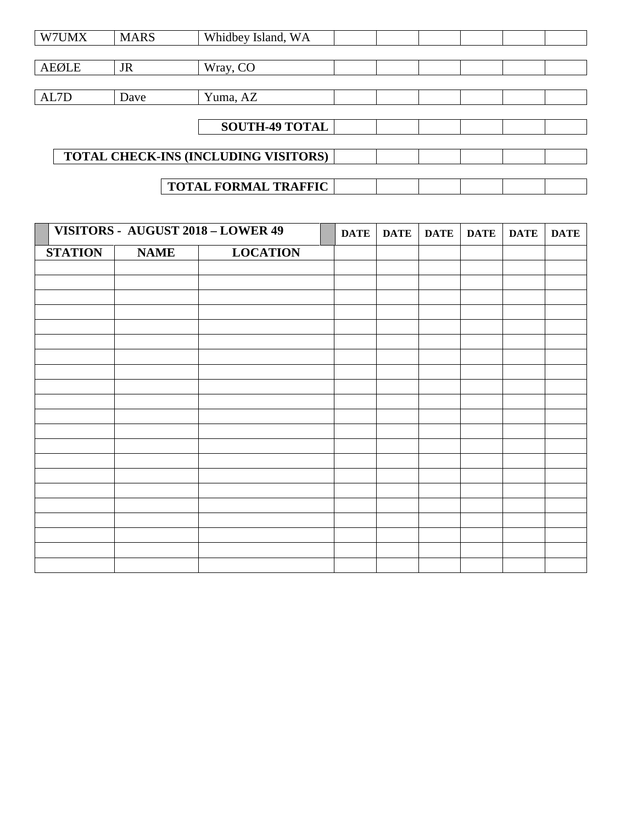| W7UMX                                | <b>MARS</b> | Whidbey Island, WA          |  |  |  |  |  |
|--------------------------------------|-------------|-----------------------------|--|--|--|--|--|
|                                      |             |                             |  |  |  |  |  |
| <b>AEØLE</b>                         | <b>JR</b>   | Wray, CO                    |  |  |  |  |  |
|                                      |             |                             |  |  |  |  |  |
| AL7D                                 | Dave        | Yuma, AZ                    |  |  |  |  |  |
|                                      |             |                             |  |  |  |  |  |
|                                      |             | <b>SOUTH-49 TOTAL</b>       |  |  |  |  |  |
|                                      |             |                             |  |  |  |  |  |
| TOTAL CHECK-INS (INCLUDING VISITORS) |             |                             |  |  |  |  |  |
|                                      |             |                             |  |  |  |  |  |
|                                      |             | <b>TOTAL FORMAL TRAFFIC</b> |  |  |  |  |  |

|                | VISITORS - AUGUST 2018 - LOWER 49 |                 | <b>DATE</b> | <b>DATE</b> | <b>DATE</b> | <b>DATE</b> | <b>DATE</b> | <b>DATE</b> |
|----------------|-----------------------------------|-----------------|-------------|-------------|-------------|-------------|-------------|-------------|
| <b>STATION</b> | <b>NAME</b>                       | <b>LOCATION</b> |             |             |             |             |             |             |
|                |                                   |                 |             |             |             |             |             |             |
|                |                                   |                 |             |             |             |             |             |             |
|                |                                   |                 |             |             |             |             |             |             |
|                |                                   |                 |             |             |             |             |             |             |
|                |                                   |                 |             |             |             |             |             |             |
|                |                                   |                 |             |             |             |             |             |             |
|                |                                   |                 |             |             |             |             |             |             |
|                |                                   |                 |             |             |             |             |             |             |
|                |                                   |                 |             |             |             |             |             |             |
|                |                                   |                 |             |             |             |             |             |             |
|                |                                   |                 |             |             |             |             |             |             |
|                |                                   |                 |             |             |             |             |             |             |
|                |                                   |                 |             |             |             |             |             |             |
|                |                                   |                 |             |             |             |             |             |             |
|                |                                   |                 |             |             |             |             |             |             |
|                |                                   |                 |             |             |             |             |             |             |
|                |                                   |                 |             |             |             |             |             |             |
|                |                                   |                 |             |             |             |             |             |             |
|                |                                   |                 |             |             |             |             |             |             |
|                |                                   |                 |             |             |             |             |             |             |
|                |                                   |                 |             |             |             |             |             |             |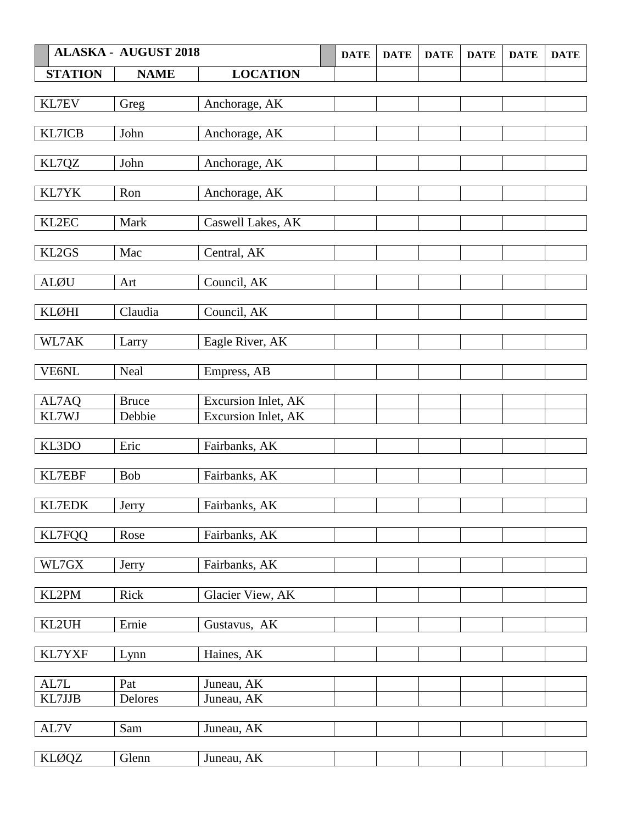| <b>ALASKA - AUGUST 2018</b> |              |                     | <b>DATE</b> | <b>DATE</b> | <b>DATE</b> | <b>DATE</b> | <b>DATE</b> | <b>DATE</b> |
|-----------------------------|--------------|---------------------|-------------|-------------|-------------|-------------|-------------|-------------|
| <b>STATION</b>              | <b>NAME</b>  | <b>LOCATION</b>     |             |             |             |             |             |             |
|                             |              |                     |             |             |             |             |             |             |
| KL7EV                       | Greg         | Anchorage, AK       |             |             |             |             |             |             |
|                             |              |                     |             |             |             |             |             |             |
| KL7ICB                      | John         | Anchorage, AK       |             |             |             |             |             |             |
| KL7QZ                       | John         | Anchorage, AK       |             |             |             |             |             |             |
|                             |              |                     |             |             |             |             |             |             |
| KL7YK                       | Ron          | Anchorage, AK       |             |             |             |             |             |             |
|                             |              |                     |             |             |             |             |             |             |
| KL2EC                       | Mark         | Caswell Lakes, AK   |             |             |             |             |             |             |
| KL2GS                       | Mac          | Central, AK         |             |             |             |             |             |             |
|                             |              |                     |             |             |             |             |             |             |
| <b>ALØU</b>                 | Art          | Council, AK         |             |             |             |             |             |             |
|                             |              |                     |             |             |             |             |             |             |
| <b>KLØHI</b>                | Claudia      | Council, AK         |             |             |             |             |             |             |
|                             |              |                     |             |             |             |             |             |             |
| WL7AK                       | Larry        | Eagle River, AK     |             |             |             |             |             |             |
| VE6NL                       | Neal         | Empress, AB         |             |             |             |             |             |             |
|                             |              |                     |             |             |             |             |             |             |
| AL7AQ                       | <b>Bruce</b> | Excursion Inlet, AK |             |             |             |             |             |             |
| KL7WJ                       | Debbie       | Excursion Inlet, AK |             |             |             |             |             |             |
| KL3DO                       | Eric         | Fairbanks, AK       |             |             |             |             |             |             |
|                             |              |                     |             |             |             |             |             |             |
| KL7EBF                      | <b>Bob</b>   | Fairbanks, AK       |             |             |             |             |             |             |
|                             |              |                     |             |             |             |             |             |             |
| <b>KL7EDK</b>               | Jerry        | Fairbanks, AK       |             |             |             |             |             |             |
|                             |              |                     |             |             |             |             |             |             |
| <b>KL7FQQ</b>               | Rose         | Fairbanks, AK       |             |             |             |             |             |             |
| WL7GX                       | Jerry        | Fairbanks, AK       |             |             |             |             |             |             |
|                             |              |                     |             |             |             |             |             |             |
| KL2PM                       | Rick         | Glacier View, AK    |             |             |             |             |             |             |
|                             |              |                     |             |             |             |             |             |             |
| KL2UH                       | Ernie        | Gustavus, AK        |             |             |             |             |             |             |
| KL7YXF                      | Lynn         | Haines, AK          |             |             |             |             |             |             |
|                             |              |                     |             |             |             |             |             |             |
| AL7L                        | Pat          | Juneau, AK          |             |             |             |             |             |             |
| KL7JJB                      | Delores      | Juneau, AK          |             |             |             |             |             |             |
|                             |              |                     |             |             |             |             |             |             |
| AL7V                        | Sam          | Juneau, AK          |             |             |             |             |             |             |
|                             |              |                     |             |             |             |             |             |             |
| <b>KLØQZ</b>                | Glenn        | Juneau, AK          |             |             |             |             |             |             |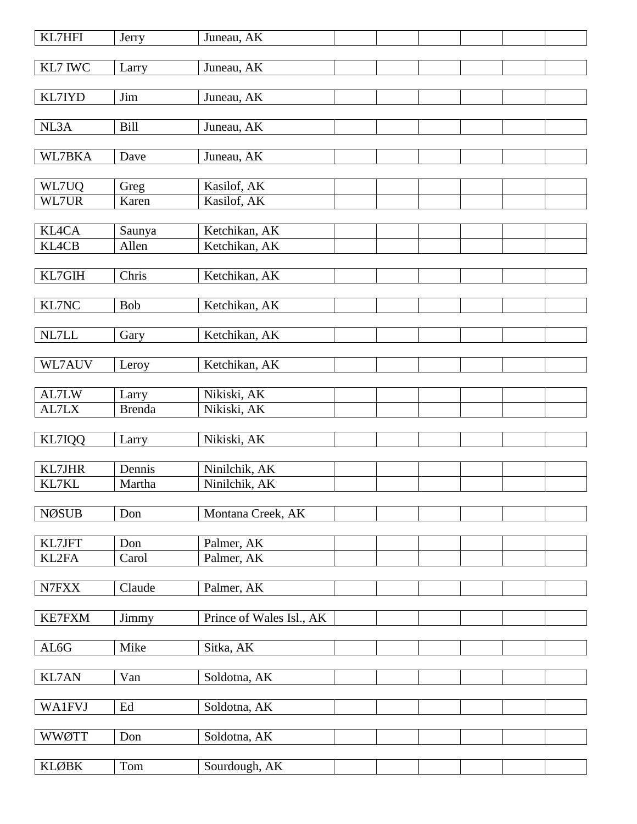| KL7HFI        | Jerry         | Juneau, AK               |  |  |  |
|---------------|---------------|--------------------------|--|--|--|
| KL7 IWC       | Larry         | Juneau, AK               |  |  |  |
|               |               |                          |  |  |  |
| KL7IYD        | Jim           | Juneau, AK               |  |  |  |
| NL3A          | <b>Bill</b>   | Juneau, AK               |  |  |  |
|               |               |                          |  |  |  |
| WL7BKA        | Dave          | Juneau, AK               |  |  |  |
|               |               |                          |  |  |  |
| WL7UQ         | Greg          | Kasilof, AK              |  |  |  |
| WL7UR         | Karen         | Kasilof, AK              |  |  |  |
|               |               |                          |  |  |  |
| <b>KL4CA</b>  | Saunya        | Ketchikan, AK            |  |  |  |
| <b>KL4CB</b>  | Allen         | Ketchikan, AK            |  |  |  |
|               |               |                          |  |  |  |
| KL7GIH        | Chris         | Ketchikan, AK            |  |  |  |
|               |               |                          |  |  |  |
| KL7NC         | <b>Bob</b>    | Ketchikan, AK            |  |  |  |
|               |               |                          |  |  |  |
| NL7LL         | Gary          | Ketchikan, AK            |  |  |  |
|               |               |                          |  |  |  |
| WL7AUV        | Leroy         | Ketchikan, AK            |  |  |  |
|               |               |                          |  |  |  |
| AL7LW         | Larry         | Nikiski, AK              |  |  |  |
| AL7LX         | <b>Brenda</b> | Nikiski, AK              |  |  |  |
| KL7IQQ        | Larry         | Nikiski, AK              |  |  |  |
|               |               |                          |  |  |  |
| KL7JHR        | Dennis        | Ninilchik, AK            |  |  |  |
| KL7KL         | Martha        | Ninilchik, AK            |  |  |  |
|               |               |                          |  |  |  |
| <b>NØSUB</b>  | Don           | Montana Creek, AK        |  |  |  |
|               |               |                          |  |  |  |
| KL7JFT        | Don           | Palmer, AK               |  |  |  |
| KL2FA         | Carol         | Palmer, AK               |  |  |  |
|               |               |                          |  |  |  |
| N7FXX         | Claude        | Palmer, AK               |  |  |  |
|               |               |                          |  |  |  |
| <b>KE7FXM</b> | Jimmy         | Prince of Wales Isl., AK |  |  |  |
|               |               |                          |  |  |  |
| AL6G          | Mike          | Sitka, AK                |  |  |  |
|               |               |                          |  |  |  |
| KL7AN         | Van           | Soldotna, AK             |  |  |  |
|               |               |                          |  |  |  |
| <b>WA1FVJ</b> | Ed            | Soldotna, AK             |  |  |  |
|               |               |                          |  |  |  |
| <b>WWØTT</b>  | Don           | Soldotna, AK             |  |  |  |
|               |               |                          |  |  |  |
| <b>KLØBK</b>  | Tom           | Sourdough, AK            |  |  |  |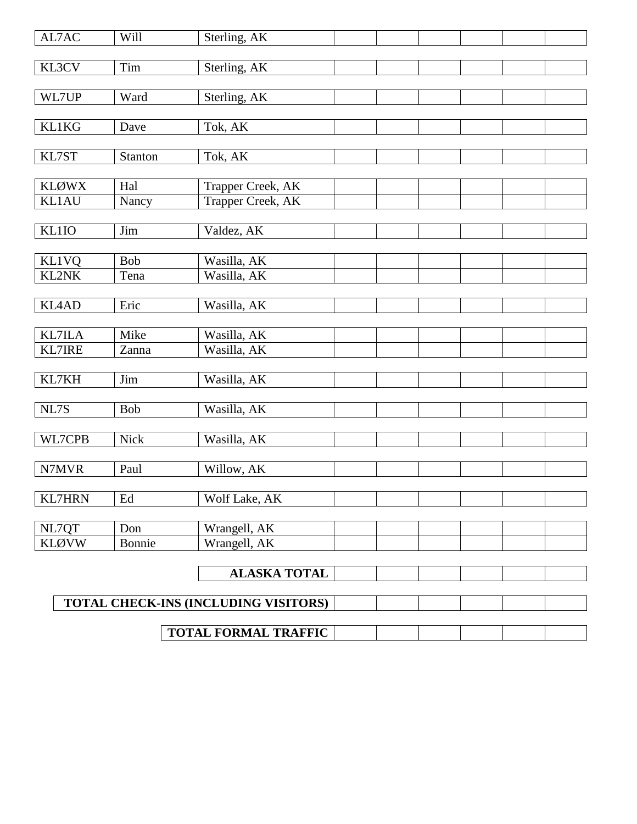| AL7AC                        | Will                  | Sterling, AK                         |  |  |
|------------------------------|-----------------------|--------------------------------------|--|--|
| KL3CV                        | Tim                   | Sterling, AK                         |  |  |
|                              |                       |                                      |  |  |
| WL7UP                        | Ward                  | Sterling, AK                         |  |  |
|                              |                       |                                      |  |  |
| <b>KL1KG</b>                 | Dave                  | Tok, AK                              |  |  |
| KL7ST                        | Stanton               | Tok, AK                              |  |  |
|                              |                       |                                      |  |  |
| <b>KLØWX</b>                 | Hal                   | Trapper Creek, AK                    |  |  |
| <b>KL1AU</b>                 | Nancy                 | Trapper Creek, AK                    |  |  |
|                              |                       |                                      |  |  |
| KL1IO                        | Jim                   | Valdez, AK                           |  |  |
|                              |                       |                                      |  |  |
| <b>KL1VQ</b><br><b>KL2NK</b> | <b>Bob</b>            | Wasilla, AK                          |  |  |
|                              | Tena                  | Wasilla, AK                          |  |  |
| <b>KL4AD</b>                 | Eric                  | Wasilla, AK                          |  |  |
|                              |                       |                                      |  |  |
| <b>KL7ILA</b>                | Mike                  | Wasilla, AK                          |  |  |
| <b>KL7IRE</b>                | Zanna                 | Wasilla, AK                          |  |  |
|                              |                       |                                      |  |  |
| KL7KH                        | $\mathop{\text{Jim}}$ | Wasilla, AK                          |  |  |
| NL7S                         | <b>Bob</b>            | Wasilla, AK                          |  |  |
|                              |                       |                                      |  |  |
| WL7CPB                       | <b>Nick</b>           | Wasilla, AK                          |  |  |
|                              |                       |                                      |  |  |
| N7MVR                        | Paul                  | Willow, AK                           |  |  |
|                              |                       |                                      |  |  |
| <b>KL7HRN</b>                | Ed                    | Wolf Lake, AK                        |  |  |
|                              |                       |                                      |  |  |
| NL7QT                        | Don                   | Wrangell, AK                         |  |  |
| <b>KLØVW</b>                 | Bonnie                | Wrangell, AK                         |  |  |
|                              |                       | <b>ALASKA TOTAL</b>                  |  |  |
|                              |                       |                                      |  |  |
|                              |                       | TOTAL CHECK-INS (INCLUDING VISITORS) |  |  |
|                              |                       |                                      |  |  |
|                              |                       | <b>TOTAL FORMAL TRAFFIC</b>          |  |  |